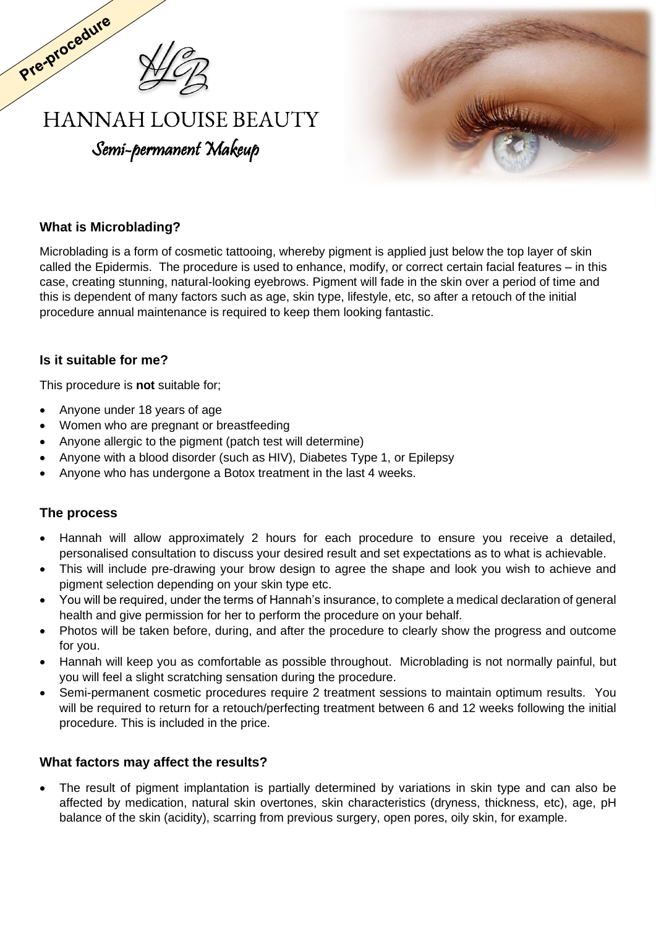

# **HANNAH LOUISE BEAUTY** Semi-permanent Makeup



## **What is Microblading?**

Pre-procedure

Microblading is a form of cosmetic tattooing, whereby pigment is applied just below the top layer of skin called the Epidermis. The procedure is used to enhance, modify, or correct certain facial features – in this case, creating stunning, natural-looking eyebrows. Pigment will fade in the skin over a period of time and this is dependent of many factors such as age, skin type, lifestyle, etc, so after a retouch of the initial procedure annual maintenance is required to keep them looking fantastic.

#### **Is it suitable for me?**

This procedure is **not** suitable for;

- Anyone under 18 years of age
- Women who are pregnant or breastfeeding
- Anyone allergic to the pigment (patch test will determine)
- Anyone with a blood disorder (such as HIV), Diabetes Type 1, or Epilepsy
- Anyone who has undergone a Botox treatment in the last 4 weeks.

#### **The process**

- Hannah will allow approximately 2 hours for each procedure to ensure you receive a detailed, personalised consultation to discuss your desired result and set expectations as to what is achievable.
- This will include pre-drawing your brow design to agree the shape and look you wish to achieve and pigment selection depending on your skin type etc.
- You will be required, under the terms of Hannah's insurance, to complete a medical declaration of general health and give permission for her to perform the procedure on your behalf.
- Photos will be taken before, during, and after the procedure to clearly show the progress and outcome for you.
- Hannah will keep you as comfortable as possible throughout. Microblading is not normally painful, but you will feel a slight scratching sensation during the procedure.
- Semi-permanent cosmetic procedures require 2 treatment sessions to maintain optimum results. You will be required to return for a retouch/perfecting treatment between 6 and 12 weeks following the initial procedure. This is included in the price.

#### **What factors may affect the results?**

• The result of pigment implantation is partially determined by variations in skin type and can also be affected by medication, natural skin overtones, skin characteristics (dryness, thickness, etc), age, pH balance of the skin (acidity), scarring from previous surgery, open pores, oily skin, for example.